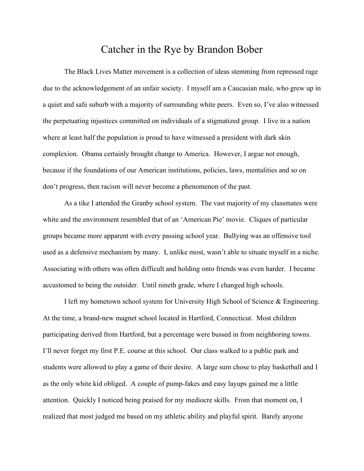## Catcher in the Rye by Brandon Bober

The Black Lives Matter movement is a collection of ideas stemming from repressed rage due to the acknowledgement of an unfair society. I myself am a Caucasian male, who grew up in a quiet and safe suburb with a majority of surrounding white peers. Even so, I've also witnessed the perpetuating injustices committed on individuals of a stigmatized group. I live in a nation where at least half the population is proud to have witnessed a president with dark skin complexion. Obama certainly brought change to America. However, I argue not enough, because if the foundations of our American institutions, policies, laws, mentalities and so on don't progress, then racism will never become a phenomenon of the past.

As a tike I attended the Granby school system. The vast majority of my classmates were white and the environment resembled that of an 'American Pie' movie. Cliques of particular groups became more apparent with every passing school year. Bullying was an offensive tool used as a defensive mechanism by many. I, unlike most, wasn't able to situate myself in a niche. Associating with others was often difficult and holding onto friends was even harder. I became accustomed to being the outsider. Until nineth grade, where I changed high schools.

I left my hometown school system for University High School of Science & Engineering. At the time, a brand-new magnet school located in Hartford, Connecticut. Most children participating derived from Hartford, but a percentage were bussed in from neighboring towns. I'll never forget my first P.E. course at this school. Our class walked to a public park and students were allowed to play a game of their desire. A large sum chose to play basketball and I as the only white kid obliged. A couple of pump-fakes and easy layups gained me a little attention. Quickly I noticed being praised for my mediocre skills. From that moment on, I realized that most judged me based on my athletic ability and playful spirit. Barely anyone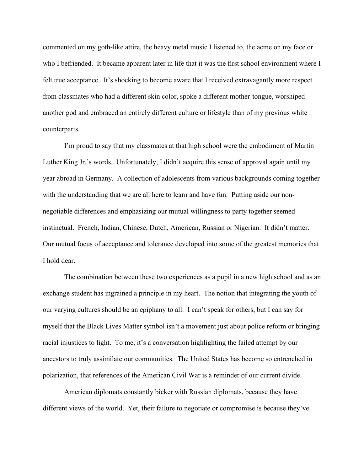commented on my goth-like attire, the heavy metal music I listened to, the acme on my face or who I befriended. It became apparent later in life that it was the first school environment where I felt true acceptance. It's shocking to become aware that I received extravagantly more respect from classmates who had a different skin color, spoke a different mother-tongue, worshiped another god and embraced an entirely different culture or lifestyle than of my previous white counterparts.

I'm proud to say that my classmates at that high school were the embodiment of Martin Luther King Jr.'s words. Unfortunately, I didn't acquire this sense of approval again until my year abroad in Germany. A collection of adolescents from various backgrounds coming together with the understanding that we are all here to learn and have fun. Putting aside our nonnegotiable differences and emphasizing our mutual willingness to party together seemed instinctual. French, Indian, Chinese, Dutch, American, Russian or Nigerian. It didn't matter. Our mutual focus of acceptance and tolerance developed into some of the greatest memories that I hold dear.

The combination between these two experiences as a pupil in a new high school and as an exchange student has ingrained a principle in my heart. The notion that integrating the youth of our varying cultures should be an epiphany to all. I can't speak for others, but I can say for myself that the Black Lives Matter symbol isn't a movement just about police reform or bringing racial injustices to light. To me, it's a conversation highlighting the failed attempt by our ancestors to truly assimilate our communities. The United States has become so entrenched in polarization, that references of the American Civil War is a reminder of our current divide.

American diplomats constantly bicker with Russian diplomats, because they have different views of the world. Yet, their failure to negotiate or compromise is because they've